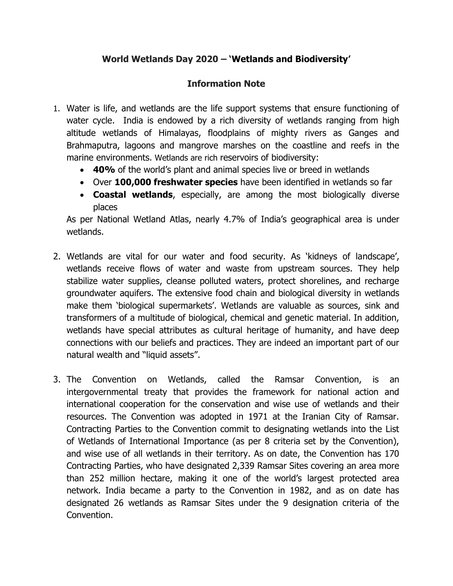## **World Wetlands Day 2020 – 'Wetlands and Biodiversity'**

## **Information Note**

- 1. Water is life, and wetlands are the life support systems that ensure functioning of water cycle. India is endowed by a rich diversity of wetlands ranging from high altitude wetlands of Himalayas, floodplains of mighty rivers as Ganges and Brahmaputra, lagoons and mangrove marshes on the coastline and reefs in the marine environments. Wetlands are rich reservoirs of biodiversity:
	- **40%** of the world's plant and animal species live or breed in wetlands
	- Over **100,000 freshwater species** have been identified in wetlands so far
	- **Coastal wetlands**, especially, are among the most biologically diverse places

As per National Wetland Atlas, nearly 4.7% of India's geographical area is under wetlands.

- 2. Wetlands are vital for our water and food security. As 'kidneys of landscape', wetlands receive flows of water and waste from upstream sources. They help stabilize water supplies, cleanse polluted waters, protect shorelines, and recharge groundwater aquifers. The extensive food chain and biological diversity in wetlands make them 'biological supermarkets'. Wetlands are valuable as sources, sink and transformers of a multitude of biological, chemical and genetic material. In addition, wetlands have special attributes as cultural heritage of humanity, and have deep connections with our beliefs and practices. They are indeed an important part of our natural wealth and "liquid assets".
- 3. The Convention on Wetlands, called the Ramsar Convention, is an intergovernmental treaty that provides the framework for national action and international cooperation for the conservation and wise use of wetlands and their resources. The Convention was adopted in 1971 at the Iranian City of Ramsar. Contracting Parties to the Convention commit to designating wetlands into the List of Wetlands of International Importance (as per 8 criteria set by the Convention), and wise use of all wetlands in their territory. As on date, the Convention has 170 Contracting Parties, who have designated 2,339 Ramsar Sites covering an area more than 252 million hectare, making it one of the world's largest protected area network. India became a party to the Convention in 1982, and as on date has designated 26 wetlands as Ramsar Sites under the 9 designation criteria of the Convention.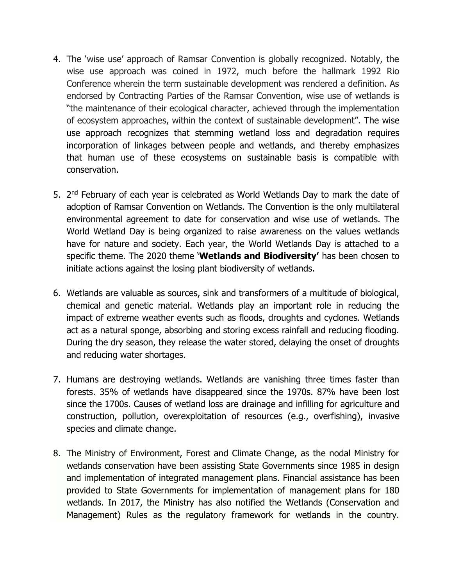- 4. The 'wise use' approach of Ramsar Convention is globally recognized. Notably, the wise use approach was coined in 1972, much before the hallmark 1992 Rio Conference wherein the term sustainable development was rendered a definition. As endorsed by Contracting Parties of the Ramsar Convention, wise use of wetlands is "the maintenance of their ecological character, achieved through the implementation of ecosystem approaches, within the context of sustainable development". The wise use approach recognizes that stemming wetland loss and degradation requires incorporation of linkages between people and wetlands, and thereby emphasizes that human use of these ecosystems on sustainable basis is compatible with conservation.
- 5. 2<sup>nd</sup> February of each year is celebrated as World Wetlands Day to mark the date of adoption of Ramsar Convention on Wetlands. The Convention is the only multilateral environmental agreement to date for conservation and wise use of wetlands. The World Wetland Day is being organized to raise awareness on the values wetlands have for nature and society. Each year, the World Wetlands Day is attached to a specific theme. The 2020 theme '**Wetlands and Biodiversity'** has been chosen to initiate actions against the losing plant biodiversity of wetlands.
- 6. Wetlands are valuable as sources, sink and transformers of a multitude of biological, chemical and genetic material. Wetlands play an important role in reducing the impact of extreme weather events such as floods, droughts and cyclones. Wetlands act as a natural sponge, absorbing and storing excess rainfall and reducing flooding. During the dry season, they release the water stored, delaying the onset of droughts and reducing water shortages.
- 7. Humans are destroying wetlands. Wetlands are vanishing three times faster than forests. 35% of wetlands have disappeared since the 1970s. 87% have been lost since the 1700s. Causes of wetland loss are drainage and infilling for agriculture and construction, pollution, overexploitation of resources (e.g., overfishing), invasive species and climate change.
- 8. The Ministry of Environment, Forest and Climate Change, as the nodal Ministry for wetlands conservation have been assisting State Governments since 1985 in design and implementation of integrated management plans. Financial assistance has been provided to State Governments for implementation of management plans for 180 wetlands. In 2017, the Ministry has also notified the Wetlands (Conservation and Management) Rules as the regulatory framework for wetlands in the country.